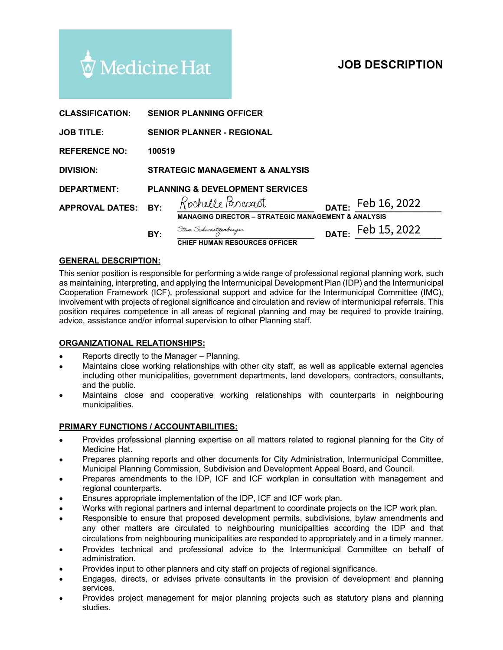# JOB DESCRIPTION

|                                      | Medicine Hat                                                            | <b>JOB DESCRIPTION</b>                                                                                                                                                                                                                                                                                                                                                                                                                                                                                                                                            |
|--------------------------------------|-------------------------------------------------------------------------|-------------------------------------------------------------------------------------------------------------------------------------------------------------------------------------------------------------------------------------------------------------------------------------------------------------------------------------------------------------------------------------------------------------------------------------------------------------------------------------------------------------------------------------------------------------------|
| <b>CLASSIFICATION:</b>               | <b>SENIOR PLANNING OFFICER</b>                                          |                                                                                                                                                                                                                                                                                                                                                                                                                                                                                                                                                                   |
| <b>JOB TITLE:</b>                    | <b>SENIOR PLANNER - REGIONAL</b>                                        |                                                                                                                                                                                                                                                                                                                                                                                                                                                                                                                                                                   |
| <b>REFERENCE NO:</b>                 | 100519                                                                  |                                                                                                                                                                                                                                                                                                                                                                                                                                                                                                                                                                   |
| <b>DIVISION:</b>                     | <b>STRATEGIC MANAGEMENT &amp; ANALYSIS</b>                              |                                                                                                                                                                                                                                                                                                                                                                                                                                                                                                                                                                   |
| <b>DEPARTMENT:</b>                   | <b>PLANNING &amp; DEVELOPMENT SERVICES</b>                              |                                                                                                                                                                                                                                                                                                                                                                                                                                                                                                                                                                   |
| <b>APPROVAL DATES:</b>               | Rochelle Parcoast<br>BY:                                                | Feb 16, 2022<br>DATE:<br><b>MANAGING DIRECTOR - STRATEGIC MANAGEMENT &amp; ANALYSIS</b>                                                                                                                                                                                                                                                                                                                                                                                                                                                                           |
|                                      | Stan Schwartzenberger<br>BY:                                            | Feb 15, 2022<br>DATE:<br><b>CHIEF HUMAN RESOURCES OFFICER</b>                                                                                                                                                                                                                                                                                                                                                                                                                                                                                                     |
| <b>GENERAL DESCRIPTION:</b>          |                                                                         |                                                                                                                                                                                                                                                                                                                                                                                                                                                                                                                                                                   |
|                                      | advice, assistance and/or informal supervision to other Planning staff. | This senior position is responsible for performing a wide range of professional regional planning work, such<br>as maintaining, interpreting, and applying the Intermunicipal Development Plan (IDP) and the Intermunicipal<br>Cooperation Framework (ICF), professional support and advice for the Intermunicipal Committee (IMC),<br>involvement with projects of regional significance and circulation and review of intermunicipal referrals. This<br>position requires competence in all areas of regional planning and may be required to provide training, |
| <b>ORGANIZATIONAL RELATIONSHIPS:</b> |                                                                         |                                                                                                                                                                                                                                                                                                                                                                                                                                                                                                                                                                   |
|                                      | Reports directly to the Manager - Planning.                             |                                                                                                                                                                                                                                                                                                                                                                                                                                                                                                                                                                   |
|                                      |                                                                         |                                                                                                                                                                                                                                                                                                                                                                                                                                                                                                                                                                   |

### GENERAL DESCRIPTION:

This senior position is responsible for performing a wide range of professional regional planning work, such Cooperation Framework (ICF), professional support and advice for the Intermunicipal Committee (IMC), involvement with projects of regional significance and circulation and review of intermunicipal referrals. This<br>position requires competence in all areas of regional planning and may be required to provide training, advice, assistance and/or informal supervision to other Planning staff. **PRAL DESCRIPTION:**<br>
THE: FED 15, 2022<br>
THEE HUMAN RESOURCES OFFICER<br>
Information and applying the intermunicipal perdention Frammethylican professional planning work, such<br>
anning interpreting, and applying the intermunic **EXAL DESCRIPTION:**<br>
THEE HUMAN RESOURCES OFFICER<br>
THET INDIA TO THET THE THOM AND RESOURCES OF PICER DATE:<br>
THE INTERITY AND A AND A THE THOM AND A THE THOM THAT AND THE THAT AND THE THAT AND THAT AND THAT AND THAT AND A

### ORGANIZATIONAL RELATIONSHIPS:

- Reports directly to the Manager Planning.
- Maintains close working relationships with other city staff, as well as applicable external agencies including other municipalities, government departments, land developers, contractors, consultants, and the public.
- Maintains close and cooperative working relationships with counterparts in neighbouring municipalities.

#### PRIMARY FUNCTIONS / ACCOUNTABILITIES:

- 
- Prepares planning reports and other documents for City Administration, Intermunicipal Committee, Municipal Planning Commission, Subdivision and Development Appeal Board, and Council.
- Prepares amendments to the IDP, ICF and ICF workplan in consultation with management and regional counterparts.
- Ensures appropriate implementation of the IDP, ICF and ICF work plan.
- Works with regional partners and internal department to coordinate projects on the ICP work plan.  $\bullet$
- Responsible to ensure that proposed development permits, subdivisions, bylaw amendments and any other matters are circulated to neighbouring municipalities according the IDP and that circulations from neighbouring municipalities are responded to appropriately and in a timely manner. Maintains close working relationships with other atty staff, as well as applicable external agencies<br>including other municipalities, government departments, land developers, contractors, consultants,<br>and the public.<br>Mainta
- Provides technical and professional advice to the Intermunicipal Committee on behalf of administration.
- Provides input to other planners and city staff on projects of regional significance.
- services.
- Provides project management for major planning projects such as statutory plans and planning studies.